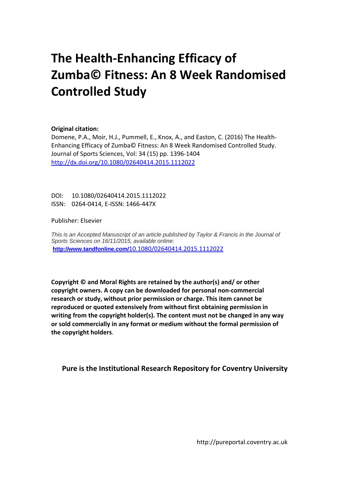# **The Health‐Enhancing Efficacy of Zumba© Fitness: An 8 Week Randomised Controlled Study**

# **Original citation:**

Domene, P.A., Moir, H.J., Pummell, E., Knox, A., and Easton, C. (2016) The Health‐ Enhancing Efficacy of Zumba© Fitness: An 8 Week Randomised Controlled Study. Journal of Sports Sciences, Vol: 34 (15) pp. 1396‐1404 http://dx.doi.org/10.1080/02640414.2015.1112022

DOI: 10.1080/02640414.2015.1112022 ISSN: 0264‐0414, E‐ISSN: 1466‐447X

# Publisher: Elsevier

*This is an Accepted Manuscript of an article published by Taylor & Francis in the Journal of Sports Sciences on 16/11/2015, available online:*  **http://www.tandfonline.com/**10.1080/02640414.2015.1112022

**Copyright © and Moral Rights are retained by the author(s) and/ or other copyright owners. A copy can be downloaded for personal non‐commercial research or study, without prior permission or charge. This item cannot be reproduced or quoted extensively from without first obtaining permission in writing from the copyright holder(s). The content must not be changed in any way or sold commercially in any format or medium without the formal permission of the copyright holders**.

**Pure is the Institutional Research Repository for Coventry University**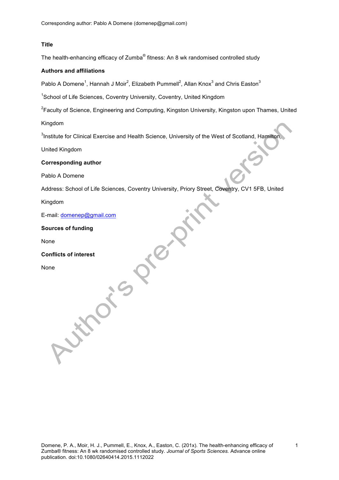# **Title**

The health-enhancing efficacy of Zumba® fitness: An 8 wk randomised controlled study

# **Authors and affiliations**

Pablo A Domene<sup>1</sup>, Hannah J Moir<sup>2</sup>, Elizabeth Pummell<sup>2</sup>, Allan Knox<sup>3</sup> and Chris Easton<sup>3</sup>

<sup>1</sup>School of Life Sciences, Coventry University, Coventry, United Kingdom

<sup>2</sup>Faculty of Science, Engineering and Computing, Kingston University, Kingston upon Thames, United

Kingdom

 $3$ Institute for Clinical Exercise and Health Science, University of the West of Scotland, Hamilton,

United Kingdom

# **Corresponding author**

Pablo A Domene

Address: School of Life Sciences, Coventry University, Priory Street, Coventry, CV1 5FB, United

**TRIP** 

Kingdom

E-mail: domenep@gmail.com

not's

**Sources of funding**

None

**Conflicts of interest**

None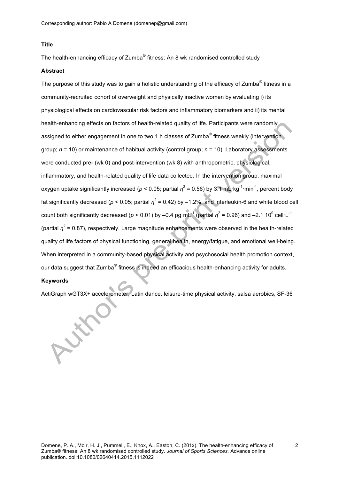# **Title**

The health-enhancing efficacy of Zumba<sup>®</sup> fitness: An 8 wk randomised controlled study

## **Abstract**

The purpose of this study was to gain a holistic understanding of the efficacy of Zumba<sup>®</sup> fitness in a community-recruited cohort of overweight and physically inactive women by evaluating i) its physiological effects on cardiovascular risk factors and inflammatory biomarkers and ii) its mental health-enhancing effects on factors of health-related quality of life. Participants were randomly assigned to either engagement in one to two 1 h classes of Zumba<sup>®</sup> fitness weekly (intervention group; *n* = 10) or maintenance of habitual activity (control group; *n* = 10). Laboratory assessments were conducted pre- (wk 0) and post-intervention (wk 8) with anthropometric, physiological, inflammatory, and health-related quality of life data collected. In the intervention group, maximal oxygen uptake significantly increased ( $p < 0.05$ ; partial  $\eta^2$  = 0.56) by 3.1 mL·kg<sup>-1</sup>·min<sup>-1</sup>, percent body fat significantly decreased ( $p < 0.05$ ; partial  $\eta^2 = 0.42$ ) by  $-1.2\%$ , and interleukin-6 and white blood cell count both significantly decreased ( $p < 0.01$ ) by –0.4 pg·mL<sup>-1</sup> (partial  $\eta^2$  = 0.96) and –2.1 10<sup>9</sup> cell·L<sup>-1</sup> (partial  $\eta^2$  = 0.87), respectively. Large magnitude enhancements were observed in the health-related quality of life factors of physical functioning, general health, energy/fatigue, and emotional well-being. When interpreted in a community-based physical activity and psychosocial health promotion context, our data suggest that Zumba<sup>®</sup> fitness is indeed an efficacious health-enhancing activity for adults.

## **Keywords**

ActiGraph wGT3X+ accelerometer, Latin dance, leisure-time physical activity, salsa aerobics, SF-36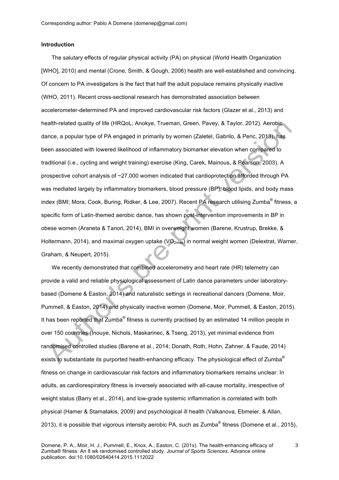#### **Introduction**

The salutary effects of regular physical activity (PA) on physical (World Health Organization [WHO], 2010) and mental (Crone, Smith, & Gough, 2006) health are well-established and convincing. Of concern to PA investigators is the fact that half the adult populace remains physically inactive (WHO, 2011). Recent cross-sectional research has demonstrated association between accelerometer-determined PA and improved cardiovascular risk factors (Glazer et al., 2013) and health-related quality of life (HRQoL; Anokye, Trueman, Green, Pavey, & Taylor, 2012). Aerobic dance, a popular type of PA engaged in primarily by women (Zaletel, Gabrilo, & Peric, 2013), has been associated with lowered likelihood of inflammatory biomarker elevation when compared to traditional (i.e., cycling and weight training) exercise (King, Carek, Mainous, & Pearson, 2003). A prospective cohort analysis of ~27,000 women indicated that cardioprotection afforded through PA was mediated largely by inflammatory biomarkers, blood pressure (BP), blood lipids, and body mass index (BMI; Mora, Cook, Buring, Ridker, & Lee, 2007). Recent PA research utilising Zumba<sup>®</sup> fitness, a specific form of Latin-themed aerobic dance, has shown post-intervention improvements in BP in obese women (Araneta & Tanori, 2014), BMI in overweight women (Barene, Krustrup, Brekke, & Holtermann, 2014), and maximal oxygen uptake  $(VO_{2max})$  in normal weight women (Delextrat, Warner, Graham, & Neupert, 2015).

We recently demonstrated that combined accelerometry and heart rate (HR) telemetry can provide a valid and reliable physiological assessment of Latin dance parameters under laboratorybased (Domene & Easton, 2014) and naturalistic settings in recreational dancers (Domene, Moir, Pummell, & Easton, 2014) and physically inactive women (Domene, Moir, Pummell, & Easton, 2015). It has been reported that Zumba<sup>®</sup> fitness is currently practised by an estimated 14 million people in over 150 countries (Inouye, Nichols, Maskarinec, & Tseng, 2013), yet minimal evidence from randomised controlled studies (Barene et al., 2014; Donath, Roth, Hohn, Zahner, & Faude, 2014) exists to substantiate its purported health-enhancing efficacy. The physiological effect of Zumba<sup>®</sup> fitness on change in cardiovascular risk factors and inflammatory biomarkers remains unclear. In adults, as cardiorespiratory fitness is inversely associated with all-cause mortality, irrespective of weight status (Barry et al., 2014), and low-grade systemic inflammation is correlated with both physical (Hamer & Stamatakis, 2009) and psychological ill health (Valkanova, Ebmeier, & Allan, 2013), it is possible that vigorous intensity aerobic PA, such as Zumba<sup>®</sup> fitness (Domene et al., 2015),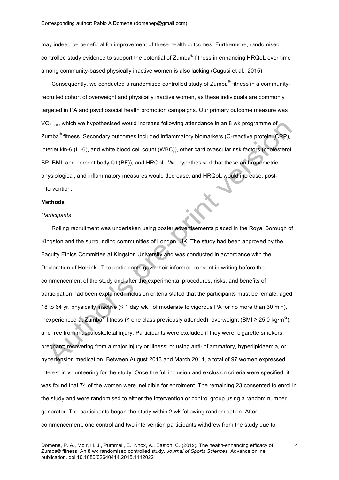may indeed be beneficial for improvement of these health outcomes. Furthermore, randomised controlled study evidence to support the potential of Zumba<sup>®</sup> fitness in enhancing HRQoL over time among community-based physically inactive women is also lacking (Cugusi et al., 2015).

Consequently, we conducted a randomised controlled study of Zumba<sup>®</sup> fitness in a communityrecruited cohort of overweight and physically inactive women, as these individuals are commonly targeted in PA and psychosocial health promotion campaigns. Our primary outcome measure was  $VO<sub>2max</sub>$ , which we hypothesised would increase following attendance in an 8 wk programme of Zumba® fitness. Secondary outcomes included inflammatory biomarkers (C-reactive protein (CRP), interleukin-6 (IL-6), and white blood cell count (WBC)), other cardiovascular risk factors (cholesterol, BP, BMI, and percent body fat (BF)), and HRQoL. We hypothesised that these anthropometric, physiological, and inflammatory measures would decrease, and HRQoL would increase, postintervention.

## **Methods**

#### *Participants*

Rolling recruitment was undertaken using poster advertisements placed in the Royal Borough of Kingston and the surrounding communities of London, UK. The study had been approved by the Faculty Ethics Committee at Kingston University and was conducted in accordance with the Declaration of Helsinki. The participants gave their informed consent in writing before the commencement of the study and after the experimental procedures, risks, and benefits of participation had been explained. Inclusion criteria stated that the participants must be female, aged 18 to 64 yr, physically inactive (≤ 1 day·wk<sup>-1</sup> of moderate to vigorous PA for no more than 30 min), inexperienced at Zumba® fitness (≤ one class previously attended), overweight (BMI ≥ 25.0 kg·m<sup>-2</sup>), and free from musculoskeletal injury. Participants were excluded if they were: cigarette smokers; pregnant; recovering from a major injury or illness; or using anti-inflammatory, hyperlipidaemia, or hypertension medication. Between August 2013 and March 2014, a total of 97 women expressed interest in volunteering for the study. Once the full inclusion and exclusion criteria were specified, it was found that 74 of the women were ineligible for enrolment. The remaining 23 consented to enrol in the study and were randomised to either the intervention or control group using a random number generator. The participants began the study within 2 wk following randomisation. After commencement, one control and two intervention participants withdrew from the study due to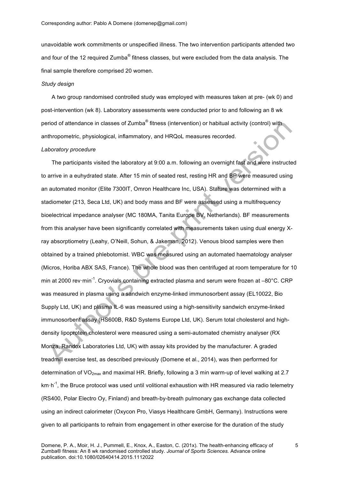unavoidable work commitments or unspecified illness. The two intervention participants attended two and four of the 12 required Zumba<sup>®</sup> fitness classes, but were excluded from the data analysis. The final sample therefore comprised 20 women.

# *Study design*

A two group randomised controlled study was employed with measures taken at pre- (wk 0) and post-intervention (wk 8). Laboratory assessments were conducted prior to and following an 8 wk period of attendance in classes of Zumba® fitness (intervention) or habitual activity (control) with anthropometric, physiological, inflammatory, and HRQoL measures recorded.

#### *Laboratory procedure*

The participants visited the laboratory at 9:00 a.m. following an overnight fast and were instructed to arrive in a euhydrated state. After 15 min of seated rest, resting HR and BP were measured using an automated monitor (Elite 7300IT, Omron Healthcare Inc, USA). Stature was determined with a stadiometer (213, Seca Ltd, UK) and body mass and BF were assessed using a multifrequency bioelectrical impedance analyser (MC 180MA, Tanita Europe BV, Netherlands). BF measurements from this analyser have been significantly correlated with measurements taken using dual energy Xray absorptiometry (Leahy, O'Neill, Sohun, & Jakeman, 2012). Venous blood samples were then obtained by a trained phlebotomist. WBC was measured using an automated haematology analyser (Micros, Horiba ABX SAS, France). The whole blood was then centrifuged at room temperature for 10 min at 2000 rev·min<sup>-1</sup>. Cryovials containing extracted plasma and serum were frozen at –80°C. CRP was measured in plasma using a sandwich enzyme-linked immunosorbent assay (EL10022, Bio Supply Ltd, UK) and plasma IL-6 was measured using a high-sensitivity sandwich enzyme-linked immunosorbent assay (HS600B, R&D Systems Europe Ltd, UK). Serum total cholesterol and highdensity lipoprotein cholesterol were measured using a semi-automated chemistry analyser (RX Monza, Randox Laboratories Ltd, UK) with assay kits provided by the manufacturer. A graded treadmill exercise test, as described previously (Domene et al., 2014), was then performed for determination of  $VO_{2max}$  and maximal HR. Briefly, following a 3 min warm-up of level walking at 2.7 km·h<sup>-1</sup>, the Bruce protocol was used until volitional exhaustion with HR measured via radio telemetry (RS400, Polar Electro Oy, Finland) and breath-by-breath pulmonary gas exchange data collected using an indirect calorimeter (Oxycon Pro, Viasys Healthcare GmbH, Germany). Instructions were given to all participants to refrain from engagement in other exercise for the duration of the study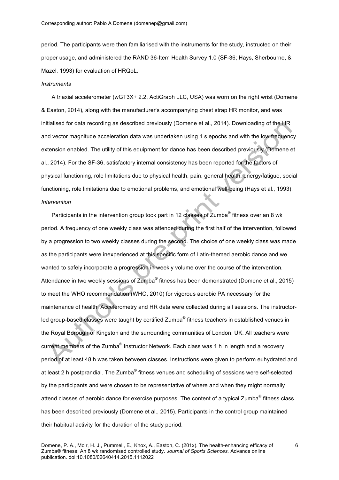period. The participants were then familiarised with the instruments for the study, instructed on their proper usage, and administered the RAND 36-Item Health Survey 1.0 (SF-36; Hays, Sherbourne, & Mazel, 1993) for evaluation of HRQoL.

#### *Instruments*

A triaxial accelerometer (wGT3X+ 2.2, ActiGraph LLC, USA) was worn on the right wrist (Domene & Easton, 2014), along with the manufacturer's accompanying chest strap HR monitor, and was initialised for data recording as described previously (Domene et al., 2014). Downloading of the HR and vector magnitude acceleration data was undertaken using 1 s epochs and with the low frequency extension enabled. The utility of this equipment for dance has been described previously (Domene et al., 2014). For the SF-36, satisfactory internal consistency has been reported for the factors of physical functioning, role limitations due to physical health, pain, general health, energy/fatigue, social functioning, role limitations due to emotional problems, and emotional well-being (Hays et al., 1993). *Intervention*

Participants in the intervention group took part in 12 classes of Zumba<sup>®</sup> fitness over an 8 wk period. A frequency of one weekly class was attended during the first half of the intervention, followed by a progression to two weekly classes during the second. The choice of one weekly class was made as the participants were inexperienced at this specific form of Latin-themed aerobic dance and we wanted to safely incorporate a progression in weekly volume over the course of the intervention. Attendance in two weekly sessions of Zumba<sup>®</sup> fitness has been demonstrated (Domene et al., 2015) to meet the WHO recommendation (WHO, 2010) for vigorous aerobic PA necessary for the maintenance of health. Accelerometry and HR data were collected during all sessions. The instructorled group-based classes were taught by certified Zumba<sup>®</sup> fitness teachers in established venues in the Royal Borough of Kingston and the surrounding communities of London, UK. All teachers were current members of the Zumba® Instructor Network. Each class was 1 h in length and a recovery period of at least 48 h was taken between classes. Instructions were given to perform euhydrated and at least 2 h postprandial. The Zumba<sup>®</sup> fitness venues and scheduling of sessions were self-selected by the participants and were chosen to be representative of where and when they might normally attend classes of aerobic dance for exercise purposes. The content of a typical Zumba<sup>®</sup> fitness class has been described previously (Domene et al., 2015). Participants in the control group maintained their habitual activity for the duration of the study period.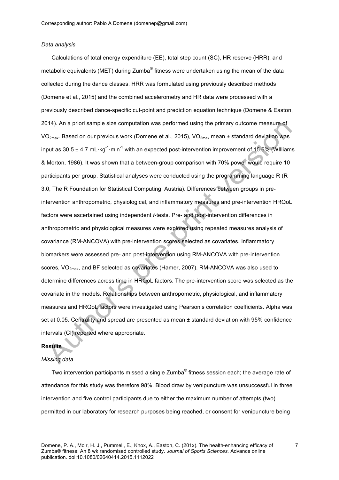#### *Data analysis*

Calculations of total energy expenditure (EE), total step count (SC), HR reserve (HRR), and metabolic equivalents (MET) during Zumba<sup>®</sup> fitness were undertaken using the mean of the data collected during the dance classes. HRR was formulated using previously described methods (Domene et al., 2015) and the combined accelerometry and HR data were processed with a previously described dance-specific cut-point and prediction equation technique (Domene & Easton, 2014). An a priori sample size computation was performed using the primary outcome measure of VO<sub>2max</sub>. Based on our previous work (Domene et al., 2015), VO<sub>2max</sub> mean  $\pm$  standard deviation was input as 30.5 ± 4.7 mL·kg<sup>-1</sup>·min<sup>-1</sup> with an expected post-intervention improvement of 15.6% (WIlliams & Morton, 1986). It was shown that a between-group comparison with 70% power would require 10 participants per group. Statistical analyses were conducted using the programming language R (R 3.0, The R Foundation for Statistical Computing, Austria). Differences between groups in preintervention anthropometric, physiological, and inflammatory measures and pre-intervention HRQoL factors were ascertained using independent *t*-tests. Pre- and post-intervention differences in anthropometric and physiological measures were explored using repeated measures analysis of covariance (RM-ANCOVA) with pre-intervention scores selected as covariates. Inflammatory biomarkers were assessed pre- and post-intervention using RM-ANCOVA with pre-intervention scores,  $VO<sub>2max</sub>$ , and BF selected as covariates (Hamer, 2007). RM-ANCOVA was also used to determine differences across time in HRQoL factors. The pre-intervention score was selected as the covariate in the models. Relationships between anthropometric, physiological, and inflammatory measures and HRQoL factors were investigated using Pearson's correlation coefficients. Alpha was set at 0.05. Centrality and spread are presented as mean ± standard deviation with 95% confidence intervals (CI) reported where appropriate.

# **Results**

## *Missing data*

Two intervention participants missed a single Zumba<sup>®</sup> fitness session each; the average rate of attendance for this study was therefore 98%. Blood draw by venipuncture was unsuccessful in three intervention and five control participants due to either the maximum number of attempts (two) permitted in our laboratory for research purposes being reached, or consent for venipuncture being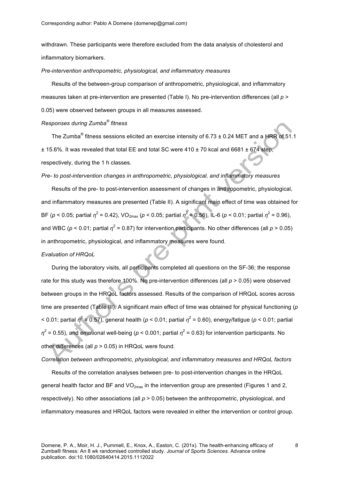withdrawn. These participants were therefore excluded from the data analysis of cholesterol and inflammatory biomarkers.

*Pre-intervention anthropometric, physiological, and inflammatory measures*

Results of the between-group comparison of anthropometric, physiological, and inflammatory measures taken at pre-intervention are presented (Table I). No pre-intervention differences (all *p* > 0.05) were observed between groups in all measures assessed.

# *Responses during Zumba® fitness*

The Zumba<sup>®</sup> fitness sessions elicited an exercise intensity of 6.73  $\pm$  0.24 MET and a HRR of 51.1  $± 15.6\%$ . It was revealed that total EE and total SC were 410  $± 70$  kcal and 6681  $± 674$  step, respectively, during the 1 h classes.

## *Pre- to post-intervention changes in anthropometric, physiological, and inflammatory measures*

Results of the pre- to post-intervention assessment of changes in anthropometric, physiological, and inflammatory measures are presented (Table II). A significant main effect of time was obtained for BF ( $p$  < 0.05; partial  $\eta^2$  = 0.42), VO<sub>2max</sub> ( $p$  < 0.05; partial  $\eta^2$  = 0.56), IL-6 ( $p$  < 0.01; partial  $\eta^2$  = 0.96), and WBC ( $p < 0.01$ ; partial  $\eta^2 = 0.87$ ) for intervention participants. No other differences (all  $p > 0.05$ ) in anthropometric, physiological, and inflammatory measures were found.

#### *Evaluation of HRQoL*

During the laboratory visits, all participants completed all questions on the SF-36; the response rate for this study was therefore 100%. No pre-intervention differences (all *p* > 0.05) were observed between groups in the HRQoL factors assessed. Results of the comparison of HRQoL scores across time are presented (Table III). A significant main effect of time was obtained for physical functioning (*p*  $\leq$  0.01; partial  $\eta^2$  = 0.57), general health ( $p \leq 0.01$ ; partial  $\eta^2$  = 0.60), energy/fatigue ( $p \leq 0.01$ ; partial  $n^2$  = 0.55), and emotional well-being ( $p$  < 0.001; partial  $\eta^2$  = 0.63) for intervention participants. No other differences (all *p* > 0.05) in HRQoL were found.

*Correlation between anthropometric, physiological, and inflammatory measures and HRQoL factors*

Results of the correlation analyses between pre- to post-intervention changes in the HRQoL general health factor and BF and  $VO_{2max}$  in the intervention group are presented (Figures 1 and 2, respectively). No other associations (all *p* > 0.05) between the anthropometric, physiological, and inflammatory measures and HRQoL factors were revealed in either the intervention or control group.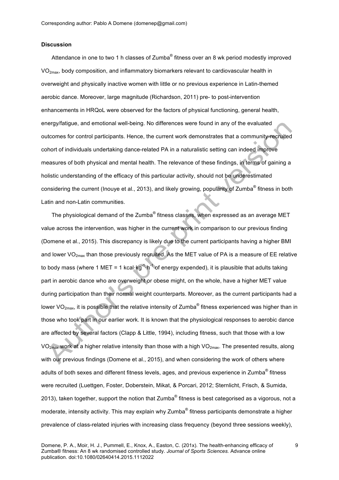#### **Discussion**

Attendance in one to two 1 h classes of Zumba<sup>®</sup> fitness over an 8 wk period modestly improved VO2max, body composition, and inflammatory biomarkers relevant to cardiovascular health in overweight and physically inactive women with little or no previous experience in Latin-themed aerobic dance. Moreover, large magnitude (Richardson, 2011) pre- to post-intervention enhancements in HRQoL were observed for the factors of physical functioning, general health, energy/fatigue, and emotional well-being. No differences were found in any of the evaluated outcomes for control participants. Hence, the current work demonstrates that a community-recruited cohort of individuals undertaking dance-related PA in a naturalistic setting can indeed improve measures of both physical and mental health. The relevance of these findings, in terms of gaining a holistic understanding of the efficacy of this particular activity, should not be underestimated considering the current (Inouye et al., 2013), and likely growing, popularity of Zumba<sup>®</sup> fitness in both Latin and non-Latin communities.

The physiological demand of the Zumba<sup>®</sup> fitness classes, when expressed as an average MET value across the intervention, was higher in the current work in comparison to our previous finding (Domene et al., 2015). This discrepancy is likely due to the current participants having a higher BMI and lower  $VO_{2max}$  than those previously recruited. As the MET value of PA is a measure of EE relative to body mass (where 1 MET = 1 kcal·kg<sup>-1</sup>·h<sup>-1</sup> of energy expended), it is plausible that adults taking part in aerobic dance who are overweight or obese might, on the whole, have a higher MET value during participation than their normal weight counterparts. Moreover, as the current participants had a lower VO<sub>2max</sub>, it is possible that the relative intensity of Zumba<sup>®</sup> fitness experienced was higher than in those who took part in our earlier work. It is known that the physiological responses to aerobic dance are affected by several factors (Clapp & Little, 1994), including fitness, such that those with a low VO<sub>2max</sub> work at a higher relative intensity than those with a high VO<sub>2max</sub>. The presented results, along with our previous findings (Domene et al., 2015), and when considering the work of others where adults of both sexes and different fitness levels, ages, and previous experience in Zumba<sup>®</sup> fitness were recruited (Luettgen, Foster, Doberstein, Mikat, & Porcari, 2012; Sternlicht, Frisch, & Sumida, 2013), taken together, support the notion that Zumba<sup>®</sup> fitness is best categorised as a vigorous, not a moderate, intensity activity. This may explain why Zumba<sup>®</sup> fitness participants demonstrate a higher prevalence of class-related injuries with increasing class frequency (beyond three sessions weekly),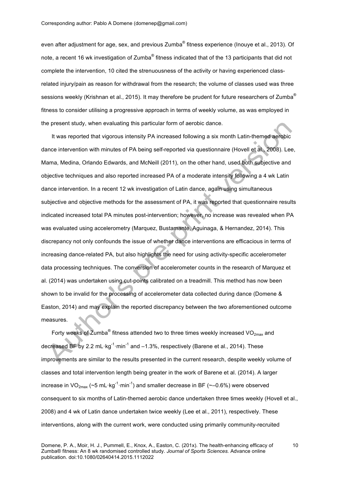even after adjustment for age, sex, and previous Zumba<sup>®</sup> fitness experience (Inouye et al., 2013). Of note, a recent 16 wk investigation of Zumba<sup>®</sup> fitness indicated that of the 13 participants that did not complete the intervention, 10 cited the strenuousness of the activity or having experienced classrelated injury/pain as reason for withdrawal from the research; the volume of classes used was three sessions weekly (Krishnan et al., 2015). It may therefore be prudent for future researchers of Zumba® fitness to consider utilising a progressive approach in terms of weekly volume, as was employed in the present study, when evaluating this particular form of aerobic dance.

It was reported that vigorous intensity PA increased following a six month Latin-themed aerobic dance intervention with minutes of PA being self-reported via questionnaire (Hovell et al., 2008). Lee, Mama, Medina, Orlando Edwards, and McNeill (2011), on the other hand, used both subjective and objective techniques and also reported increased PA of a moderate intensity following a 4 wk Latin dance intervention. In a recent 12 wk investigation of Latin dance, again using simultaneous subjective and objective methods for the assessment of PA, it was reported that questionnaire results indicated increased total PA minutes post-intervention; however, no increase was revealed when PA was evaluated using accelerometry (Marquez, Bustamante, Aguinaga, & Hernandez, 2014). This discrepancy not only confounds the issue of whether dance interventions are efficacious in terms of increasing dance-related PA, but also highlights the need for using activity-specific accelerometer data processing techniques. The conversion of accelerometer counts in the research of Marquez et al. (2014) was undertaken using cut-points calibrated on a treadmill. This method has now been shown to be invalid for the processing of accelerometer data collected during dance (Domene & Easton, 2014) and may explain the reported discrepancy between the two aforementioned outcome measures.

Forty weeks of Zumba<sup>®</sup> fitness attended two to three times weekly increased VO<sub>2max</sub> and decreased BF by 2.2 mL·kg<sup>-1</sup>·min<sup>-1</sup> and –1.3%, respectively (Barene et al., 2014). These improvements are similar to the results presented in the current research, despite weekly volume of classes and total intervention length being greater in the work of Barene et al. (2014). A larger increase in VO<sub>2max</sub> (~5 mL·kg<sup>-1</sup>·min<sup>-1</sup>) and smaller decrease in BF (~–0.6%) were observed consequent to six months of Latin-themed aerobic dance undertaken three times weekly (Hovell et al., 2008) and 4 wk of Latin dance undertaken twice weekly (Lee et al., 2011), respectively. These interventions, along with the current work, were conducted using primarily community-recruited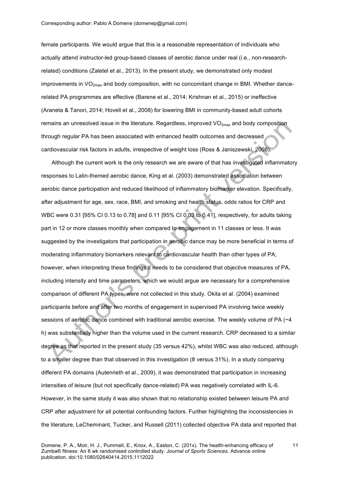female participants. We would argue that this is a reasonable representation of individuals who actually attend instructor-led group-based classes of aerobic dance under real (i.e., non-researchrelated) conditions (Zaletel et al., 2013). In the present study, we demonstrated only modest improvements in  $VO<sub>2max</sub>$  and body composition, with no concomitant change in BMI. Whether dancerelated PA programmes are effective (Barene et al., 2014; Krishnan et al., 2015) or ineffective (Araneta & Tanori, 2014; Hovell et al., 2008) for lowering BMI in community-based adult cohorts remains an unresolved issue in the literature. Regardless, improved VO<sub>2max</sub> and body composition through regular PA has been associated with enhanced health outcomes and decreased cardiovascular risk factors in adults, irrespective of weight loss (Ross & Janiszewski, 2008).

Although the current work is the only research we are aware of that has investigated inflammatory responses to Latin-themed aerobic dance, King et al. (2003) demonstrated association between aerobic dance participation and reduced likelihood of inflammatory biomarker elevation. Specifically, after adjustment for age, sex, race, BMI, and smoking and health status, odds ratios for CRP and WBC were 0.31 [95% CI 0.13 to 0.78] and 0.11 [95% CI 0.03 to 0.41], respectively, for adults taking part in 12 or more classes monthly when compared to engagement in 11 classes or less. It was suggested by the investigators that participation in aerobic dance may be more beneficial in terms of moderating inflammatory biomarkers relevant to cardiovascular health than other types of PA; however, when interpreting these findings it needs to be considered that objective measures of PA, including intensity and time parameters, which we would argue are necessary for a comprehensive comparison of different PA types, were not collected in this study. Okita et al. (2004) examined participants before and after two months of engagement in supervised PA involving twice weekly sessions of aerobic dance combined with traditional aerobic exercise. The weekly volume of PA (~4 h) was substantially higher than the volume used in the current research. CRP decreased to a similar degree as that reported in the present study (35 versus 42%), whilst WBC was also reduced, although to a smaller degree than that observed in this investigation (8 versus 31%). In a study comparing different PA domains (Autenrieth et al., 2009), it was demonstrated that participation in increasing intensities of leisure (but not specifically dance-related) PA was negatively correlated with IL-6. However, in the same study it was also shown that no relationship existed between leisure PA and CRP after adjustment for all potential confounding factors. Further highlighting the inconsistencies in the literature, LeCheminant, Tucker, and Russell (2011) collected objective PA data and reported that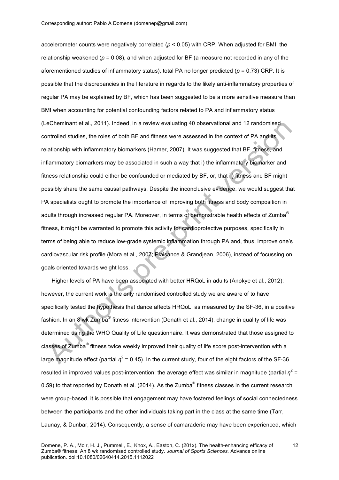accelerometer counts were negatively correlated (*p* < 0.05) with CRP. When adjusted for BMI, the relationship weakened ( $p = 0.08$ ), and when adjusted for BF (a measure not recorded in any of the aforementioned studies of inflammatory status), total PA no longer predicted (*p* = 0.73) CRP. It is possible that the discrepancies in the literature in regards to the likely anti-inflammatory properties of regular PA may be explained by BF, which has been suggested to be a more sensitive measure than BMI when accounting for potential confounding factors related to PA and inflammatory status (LeCheminant et al., 2011). Indeed, in a review evaluating 40 observational and 12 randomised controlled studies, the roles of both BF and fitness were assessed in the context of PA and its relationship with inflammatory biomarkers (Hamer, 2007). It was suggested that BF, fitness, and inflammatory biomarkers may be associated in such a way that i) the inflammatory biomarker and fitness relationship could either be confounded or mediated by BF, or, that ii) fitness and BF might possibly share the same causal pathways. Despite the inconclusive evidence, we would suggest that PA specialists ought to promote the importance of improving both fitness and body composition in adults through increased regular PA. Moreover, in terms of demonstrable health effects of Zumba<sup>®</sup> fitness, it might be warranted to promote this activity for cardioprotective purposes, specifically in terms of being able to reduce low-grade systemic inflammation through PA and, thus, improve one's cardiovascular risk profile (Mora et al., 2007; Plaisance & Grandjean, 2006), instead of focussing on goals oriented towards weight loss.

Higher levels of PA have been associated with better HRQoL in adults (Anokye et al., 2012); however, the current work is the only randomised controlled study we are aware of to have specifically tested the hypothesis that dance affects HRQoL, as measured by the SF-36, in a positive fashion. In an 8 wk Zumba<sup>®</sup> fitness intervention (Donath et al., 2014), change in quality of life was determined using the WHO Quality of Life questionnaire. It was demonstrated that those assigned to classes of Zumba<sup>®</sup> fitness twice weekly improved their quality of life score post-intervention with a large magnitude effect (partial  $n^2$  = 0.45). In the current study, four of the eight factors of the SF-36 resulted in improved values post-intervention; the average effect was similar in magnitude (partial  $\eta^2$  = 0.59) to that reported by Donath et al. (2014). As the Zumba<sup>®</sup> fitness classes in the current research were group-based, it is possible that engagement may have fostered feelings of social connectedness between the participants and the other individuals taking part in the class at the same time (Tarr, Launay, & Dunbar, 2014). Consequently, a sense of camaraderie may have been experienced, which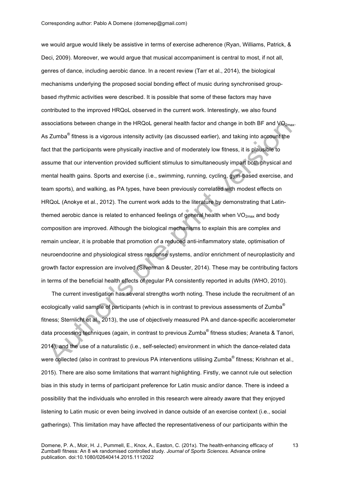we would argue would likely be assistive in terms of exercise adherence (Ryan, Williams, Patrick, & Deci, 2009). Moreover, we would argue that musical accompaniment is central to most, if not all, genres of dance, including aerobic dance. In a recent review (Tarr et al., 2014), the biological mechanisms underlying the proposed social bonding effect of music during synchronised groupbased rhythmic activities were described. It is possible that some of these factors may have contributed to the improved HRQoL observed in the current work. Interestingly, we also found associations between change in the HRQoL general health factor and change in both BF and  $VO<sub>2max</sub>$ . As Zumba<sup>®</sup> fitness is a vigorous intensity activity (as discussed earlier), and taking into account the fact that the participants were physically inactive and of moderately low fitness, it is plausible to assume that our intervention provided sufficient stimulus to simultaneously impart both physical and mental health gains. Sports and exercise (i.e., swimming, running, cycling, gym-based exercise, and team sports), and walking, as PA types, have been previously correlated with modest effects on HRQoL (Anokye et al., 2012). The current work adds to the literature by demonstrating that Latinthemed aerobic dance is related to enhanced feelings of general health when  $VO_{2max}$  and body composition are improved. Although the biological mechanisms to explain this are complex and remain unclear, it is probable that promotion of a reduced anti-inflammatory state, optimisation of neuroendocrine and physiological stress response systems, and/or enrichment of neuroplasticity and growth factor expression are involved (Silverman & Deuster, 2014). These may be contributing factors in terms of the beneficial health effects of regular PA consistently reported in adults (WHO, 2010).

The current investigation has several strengths worth noting. These include the recruitment of an ecologically valid sample of participants (which is in contrast to previous assessments of Zumba<sup>®</sup> fitness; Sternlicht et al., 2013), the use of objectively measured PA and dance-specific accelerometer data processing techniques (again, in contrast to previous Zumba<sup>®</sup> fitness studies; Araneta & Tanori, 2014), and the use of a naturalistic (i.e., self-selected) environment in which the dance-related data were collected (also in contrast to previous PA interventions utilising Zumba<sup>®</sup> fitness; Krishnan et al., 2015). There are also some limitations that warrant highlighting. Firstly, we cannot rule out selection bias in this study in terms of participant preference for Latin music and/or dance. There is indeed a possibility that the individuals who enrolled in this research were already aware that they enjoyed listening to Latin music or even being involved in dance outside of an exercise context (i.e., social gatherings). This limitation may have affected the representativeness of our participants within the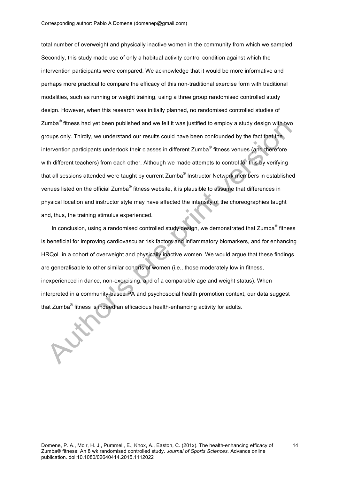total number of overweight and physically inactive women in the community from which we sampled. Secondly, this study made use of only a habitual activity control condition against which the intervention participants were compared. We acknowledge that it would be more informative and perhaps more practical to compare the efficacy of this non-traditional exercise form with traditional modalities, such as running or weight training, using a three group randomised controlled study design. However, when this research was initially planned, no randomised controlled studies of Zumba® fitness had yet been published and we felt it was justified to employ a study design with two groups only. Thirdly, we understand our results could have been confounded by the fact that the intervention participants undertook their classes in different Zumba® fitness venues (and therefore with different teachers) from each other. Although we made attempts to control for this by verifying that all sessions attended were taught by current Zumba<sup>®</sup> Instructor Network members in established venues listed on the official Zumba<sup>®</sup> fitness website, it is plausible to assume that differences in physical location and instructor style may have affected the intensity of the choreographies taught and, thus, the training stimulus experienced.

In conclusion, using a randomised controlled study design, we demonstrated that Zumba<sup>®</sup> fitness is beneficial for improving cardiovascular risk factors and inflammatory biomarkers, and for enhancing HRQoL in a cohort of overweight and physically inactive women. We would argue that these findings are generalisable to other similar cohorts of women (i.e., those moderately low in fitness, inexperienced in dance, non-exercising, and of a comparable age and weight status). When interpreted in a community-based PA and psychosocial health promotion context, our data suggest that Zumba® fitness is indeed an efficacious health-enhancing activity for adults.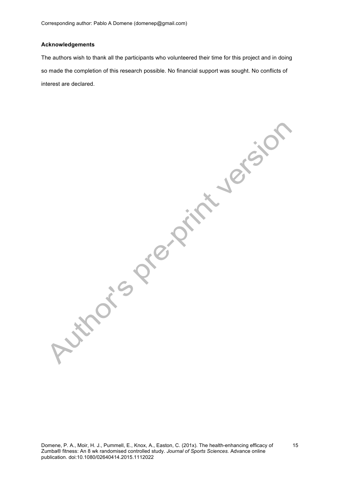Corresponding author: Pablo A Domene (domenep@gmail.com)

## **Acknowledgements**

The authors wish to thank all the participants who volunteered their time for this project and in doing so made the completion of this research possible. No financial support was sought. No conflicts of interest are declared.

Authoris Prelimination

Domene, P. A., Moir, H. J., Pummell, E., Knox, A., Easton, C. (201x). The health-enhancing efficacy of Zumba® fitness: An 8 wk randomised controlled study. *Journal of Sports Sciences.* Advance online publication. doi:10.1080/02640414.2015.1112022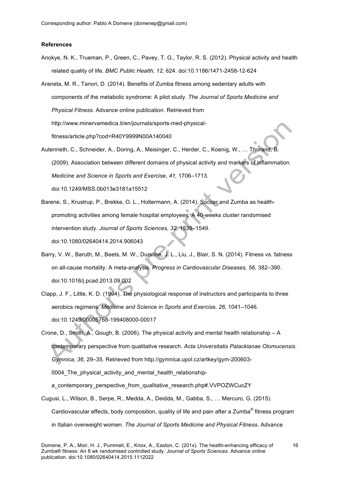#### **References**

- Anokye, N. K., Trueman, P., Green, C., Pavey, T. G., Taylor, R. S. (2012). Physical activity and health related quality of life. *BMC Public Health, 12,* 624. doi:10.1186/1471-2458-12-624
- Araneta, M. R., Tanori, D. (2014). Benefits of Zumba fitness among sedentary adults with components of the metabolic syndrome: A pilot study. *The Journal of Sports Medicine and Physical Fitness.* Advance online publication. Retrieved from http://www.minervamedica.it/en/journals/sports-med-physicalfitness/article.php?cod=R40Y9999N00A140040
- Autenrieth, C., Schneider, A., Doring, A., Meisinger, C., Herder, C., Koenig, W., … Thorand, B. (2009). Association between different domains of physical activity and markers of inflammation. *Medicine and Science in Sports and Exercise, 41,* 1706–1713. doi:10.1249/MSS.0b013e3181a15512
- Barene, S., Krustrup, P., Brekke, O. L., Holtermann, A. (2014). Soccer and Zumba as healthpromoting activities among female hospital employees: A 40-weeks cluster randomised intervention study. *Journal of Sports Sciences, 32,* 1539–1549. doi:10.1080/02640414.2014.906043
- Barry, V. W., Baruth, M., Beets, M. W., Durstine, J. L., Liu, J., Blair, S. N. (2014). Fitness vs. fatness on all-cause mortality: A meta-analysis. *Progress in Cardiovascular Diseases, 56,* 382–390. doi:10.1016/j.pcad.2013.09.002
- Clapp, J. F., Little, K. D. (1994). The physiological response of instructors and participants to three aerobics regimens. *Medicine and Science in Sports and Exercise, 26,* 1041–1046. doi:10.1249/00005768-199408000-00017

Crone, D., Smith, A., Gough, B. (2006). The physical activity and mental health relationship – A contemporary perspective from qualitative research. *Acta Universitatis Palackianae Olomucensis. Gymnica, 36,* 29–35. Retrieved from http://gymnica.upol.cz/artkey/gym-200603- 0004 The physical activity and mental health relationshipa contemporary perspective from qualitative research.php#.VVPOZWCucZY

Cugusi, L., Wilson, B., Serpe, R., Medda, A., Deidda, M., Gabba, S., … Mercuro, G. (2015). Cardiovascular effects, body composition, quality of life and pain after a Zumba<sup>®</sup> fitness program in Italian overweight women. *The Journal of Sports Medicine and Physical Fitness.* Advance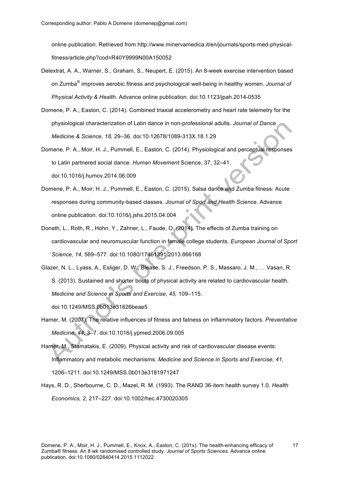online publication. Retrieved from http://www.minervamedica.it/en/journals/sports-med-physicalfitness/article.php?cod=R40Y9999N00A150052

- Delextrat, A. A., Warner, S., Graham, S., Neupert, E. (2015). An 8-week exercise intervention based on Zumba® improves aerobic fitness and psychological well-being in healthy women. *Journal of Physical Activity & Health.* Advance online publication. doi:10.1123/jpah.2014-0535
- Domene, P. A., Easton, C. (2014). Combined triaxial accelerometry and heart rate telemetry for the physiological characterization of Latin dance in non-professional adults. *Journal of Dance Medicine & Science, 18,* 29–36. doi:10.12678/1089-313X.18.1.29
- Domene, P. A., Moir, H. J., Pummell, E., Easton, C. (2014). Physiological and perceptual responses to Latin partnered social dance. *Human Movement* Science, 37, 32–41. doi:10.1016/j.humov.2014.06.009
- Domene, P. A., Moir, H. J., Pummell, E., Easton, C. (2015). Salsa dance and Zumba fitness: Acute responses during community-based classes. *Journal of Sport and Health Science.* Advance online publication. doi:10.1016/j.jshs.2015.04.004
- Donath, L., Roth, R., Hohn, Y., Zahner, L., Faude, O. (2014). The effects of Zumba training on cardiovascular and neuromuscular function in female college students. *European Journal of Sport Science, 14,* 569–577. doi:10.1080/17461391.2013.866168
- Glazer, N. L., Lyass, A., Esliger, D. W., Blease, S. J., Freedson, P. S., Massaro, J. M., … Vasan, R. S. (2013). Sustained and shorter bouts of physical activity are related to cardiovascular health. *Medicine and Science in Sports and Exercise, 45,* 109–115. doi:10.1249/MSS.0b013e31826beae5
- Hamer, M. (2007). The relative influences of fitness and fatness on inflammatory factors. *Preventative Medicine, 44,* 3–7. doi:10.1016/j.ypmed.2006.09.005
- Hamer, M., Stamatakis, E. (2009). Physical activity and risk of cardiovascular disease events: Inflammatory and metabolic mechanisms. *Medicine and Science in Sports and Exercise, 41,* 1206–1211. doi:10.1249/MSS.0b013e3181971247
- Hays, R. D., Sherbourne, C. D., Mazel, R. M. (1993). The RAND 36-item health survey 1.0. *Health Economics, 2,* 217–227. doi:10.1002/hec.4730020305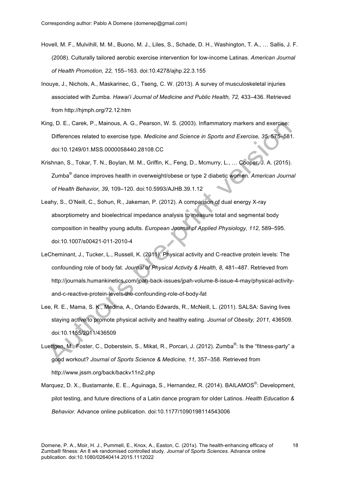- Hovell, M. F., Mulvihill, M. M., Buono, M. J., Liles, S., Schade, D. H., Washington, T. A., … Sallis, J. F. (2008). Culturally tailored aerobic exercise intervention for low-income Latinas. *American Journal of Health Promotion, 22,* 155–163. doi:10.4278/ajhp.22.3.155
- Inouye, J., Nichols, A., Maskarinec, G., Tseng, C. W. (2013). A survey of musculoskeletal injuries associated with Zumba. *Hawai'i Journal of Medicine and Public Health, 72,* 433–436. Retrieved from http://hjmph.org/72.12.htm
- King, D. E., Carek, P., Mainous, A. G., Pearson, W. S. (2003). Inflammatory markers and exercise: Differences related to exercise type. *Medicine and Science in Sports and Exercise, 35,* 575–581. doi:10.1249/01.MSS.0000058440.28108.CC
- Krishnan, S., Tokar, T. N., Boylan, M. M., Griffin, K., Feng, D., Mcmurry, L., … Cooper, J. A. (2015). Zumba® dance improves health in overweight/obese or type 2 diabetic women. *American Journal of Health Behavior, 39,* 109–120. doi:10.5993/AJHB.39.1.12
- Leahy, S., O'Neill, C., Sohun, R., Jakeman, P. (2012). A comparison of dual energy X-ray absorptiometry and bioelectrical impedance analysis to measure total and segmental body composition in healthy young adults. *European Journal of Applied Physiology, 112,* 589–595. doi:10.1007/s00421-011-2010-4
- LeCheminant, J., Tucker, L., Russell, K. (2011). Physical activity and C-reactive protein levels: The confounding role of body fat. *Journal of Physical Activity & Health, 8,* 481–487. Retrieved from http://journals.humankinetics.com/jpah-back-issues/jpah-volume-8-issue-4-may/physical-activityand-c-reactive-protein-levels-the-confounding-role-of-body-fat
- Lee, R. E., Mama, S. K., Medina, A., Orlando Edwards, R., McNeill, L. (2011). SALSA: Saving lives staying active to promote physical activity and healthy eating. *Journal of Obesity, 2011,* 436509. doi:10.1155/2011/436509
- Luettgen, M., Foster, C., Doberstein, S., Mikat, R., Porcari, J. (2012). Zumba<sup>®</sup>: Is the "fitness-party" a good workout? *Journal of Sports Science & Medicine, 11,* 357–358. Retrieved from http://www.jssm.org/back/backv11n2.php
- Marquez, D. X., Bustamante, E. E., Aguinaga, S., Hernandez, R. (2014). BAILAMOS<sup>©</sup>: Development, pilot testing, and future directions of a Latin dance program for older Latinos. *Health Education & Behavior.* Advance online publication. doi:10.1177/1090198114543006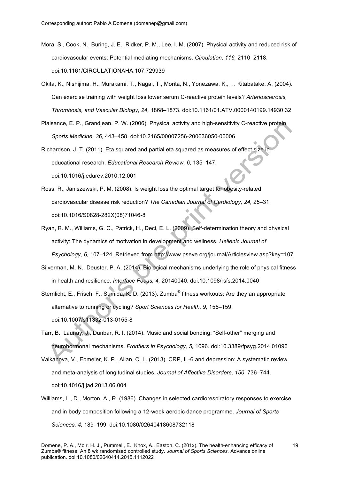- Mora, S., Cook, N., Buring, J. E., Ridker, P. M., Lee, I. M. (2007). Physical activity and reduced risk of cardiovascular events: Potential mediating mechanisms. *Circulation, 116,* 2110–2118. doi:10.1161/CIRCULATIONAHA.107.729939
- Okita, K., Nishijima, H., Murakami, T., Nagai, T., Morita, N., Yonezawa, K., … Kitabatake, A. (2004). Can exercise training with weight loss lower serum C-reactive protein levels? *Arteriosclerosis, Thrombosis, and Vascular Biology, 24,* 1868–1873. doi:10.1161/01.ATV.0000140199.14930.32
- Plaisance, E. P., Grandjean, P. W. (2006). Physical activity and high-sensitivity C-reactive protein. *Sports Medicine, 36,* 443–458. doi:10.2165/00007256-200636050-00006

Richardson, J. T. (2011). Eta squared and partial eta squared as measures of effect size in educational research. *Educational Research Review, 6,* 135–147. doi:10.1016/j.edurev.2010.12.001

- Ross, R., Janiszewski, P. M. (2008). Is weight loss the optimal target for obesity-related cardiovascular disease risk reduction? *The Canadian Journal of Cardiology, 24,* 25–31. doi:10.1016/S0828-282X(08)71046-8
- Ryan, R. M., Williams, G. C., Patrick, H., Deci, E. L. (2009). Self-determination theory and physical activity: The dynamics of motivation in development and wellness. *Hellenic Journal of Psychology, 6,* 107–124. Retrieved from http://www.pseve.org/journal/Articlesview.asp?key=107
- Silverman, M. N., Deuster, P. A. (2014). Biological mechanisms underlying the role of physical fitness in health and resilience. *Interface Focus, 4,* 20140040. doi:10.1098/rsfs.2014.0040
- Sternlicht, E., Frisch, F., Sumida, K. D. (2013). Zumba<sup>®</sup> fitness workouts: Are they an appropriate alternative to running or cycling? *Sport Sciences for Health, 9,* 155–159. doi:10.1007/s11332-013-0155-8
- Tarr, B., Launay, J., Dunbar, R. I. (2014). Music and social bonding: "Self-other" merging and neurohormonal mechanisms. *Frontiers in Psychology, 5,* 1096. doi:10.3389/fpsyg.2014.01096
- Valkanova, V., Ebmeier, K. P., Allan, C. L. (2013). CRP, IL-6 and depression: A systematic review and meta-analysis of longitudinal studies. *Journal of Affective Disorders, 150,* 736–744. doi:10.1016/j.jad.2013.06.004
- Williams, L., D., Morton, A., R. (1986). Changes in selected cardiorespiratory responses to exercise and in body composition following a 12-week aerobic dance programme. *Journal of Sports Sciences, 4,* 189–199. doi:10.1080/02640418608732118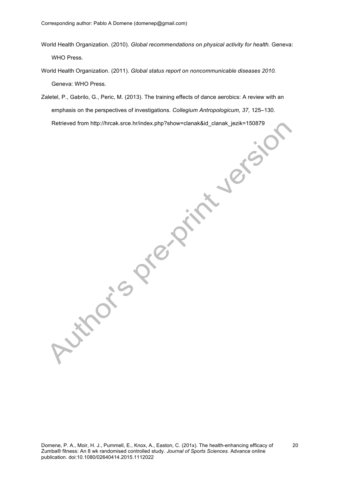- World Health Organization. (2010). *Global recommendations on physical activity for health.* Geneva: WHO Press.
- World Health Organization. (2011). *Global status report on noncommunicable diseases 2010.* Geneva: WHO Press.
- Zaletel, P., Gabrilo, G., Peric, M. (2013). The training effects of dance aerobics: A review with an emphasis on the perspectives of investigations. *Collegium Antropologicum, 37,* 125–130. Retrieved from http://hrcak.srce.hr/index.php?show=clanak&id\_clanak\_jezik=150879

Autrois President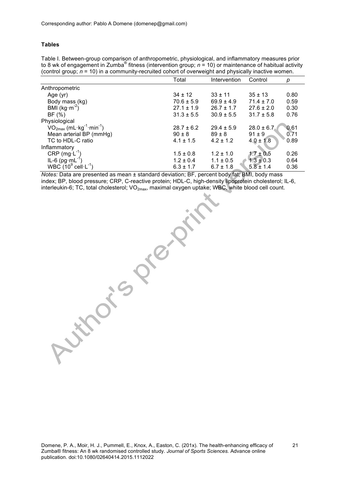## **Tables**

Table I. Between-group comparison of anthropometric, physiological, and inflammatory measures prior to 8 wk of engagement in Zumba<sup>®</sup> fitness (intervention group;  $n = 10$ ) or maintenance of habitual activity (control group; *n* = 10) in a community-recruited cohort of overweight and physically inactive women.

|                                                    | Total          | Intervention   | Control        | р    |
|----------------------------------------------------|----------------|----------------|----------------|------|
| Anthropometric                                     |                |                |                |      |
| Age (yr)                                           | $34 \pm 12$    | $33 \pm 11$    | $35 \pm 13$    | 0.80 |
| Body mass (kg)                                     | $70.6 \pm 5.9$ | $69.9 \pm 4.9$ | $71.4 \pm 7.0$ | 0.59 |
| BMI $(kg·m-2)$                                     | $27.1 \pm 1.9$ | $26.7 \pm 1.7$ | $27.6 \pm 2.0$ | 0.30 |
| BF(%)                                              | $31.3 \pm 5.5$ | $30.9 \pm 5.5$ | $31.7 \pm 5.8$ | 0.76 |
| Physiological                                      |                |                |                |      |
| $VO2max$ (mL·kg <sup>-1</sup> ·min <sup>-1</sup> ) | $28.7 \pm 6.2$ | $29.4 \pm 5.9$ | $28.0 \pm 6.7$ | 0.61 |
| Mean arterial BP (mmHg)                            | $90 \pm 8$     | $89 \pm 8$     | $91 \pm 9$     | 0.71 |
| TC to HDL-C ratio                                  | $4.1 \pm 1.5$  | $4.2 \pm 1.2$  | $4.0 \pm 1.8$  | 0.89 |
| Inflammatory                                       |                |                |                |      |
| CRP $(mg \cdot L^{-1})$                            | $1.5 \pm 0.8$  | $1.2 \pm 1.0$  | $1.7 \pm 0.5$  | 0.26 |
| IL-6 $(pg \cdot mL^{-1})$                          | $1.2 \pm 0.4$  | $1.1 \pm 0.5$  | $1.3 \pm 0.3$  | 0.64 |
| WBC $(10^9 \text{ cell} \cdot \text{L}^{-1})$      | $6.3 \pm 1.7$  | $6.7 \pm 1.8$  | $5.8 \pm 1.4$  | 0.36 |

*Notes:* Data are presented as mean ± standard deviation; BF, percent body fat; BMI, body mass index; BP, blood pressure; CRP, C-reactive protein; HDL-C, high-density lipoprotein cholesterol; IL-6, interleukin-6; TC, total cholesterol; VO<sub>2max</sub>, maximal oxygen uptake; WBC, white blood cell count.

**Nitro**is Pre-Print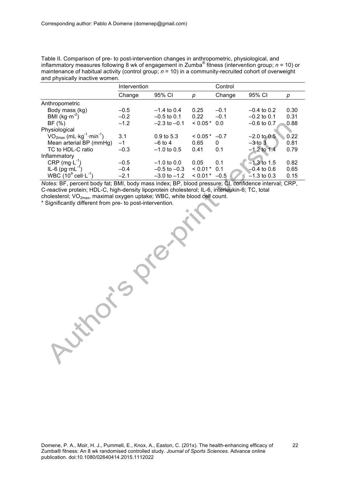Table II. Comparison of pre- to post-intervention changes in anthropometric, physiological, and inflammatory measures following 8 wk of engagement in Zumba® fitness (intervention group; *n* = 10) or maintenance of habitual activity (control group; *n* = 10) in a community-recruited cohort of overweight and physically inactive women.

|                                                    | Intervention |                  | Control        |          |               |      |
|----------------------------------------------------|--------------|------------------|----------------|----------|---------------|------|
|                                                    | Change       | 95% CI           | р              | Change   | 95% CI        | р    |
| Anthropometric                                     |              |                  |                |          |               |      |
| Body mass (kg)                                     | $-0.5$       | $-1.4$ to 0.4    | 0.25           | $-0.1$   | $-0.4$ to 0.2 | 0.30 |
| BMI ( $kg·m-2$ )                                   | $-0.2$       | $-0.5$ to 0.1    | 0.22           | $-0.1$   | $-0.2$ to 0.1 | 0.31 |
| BF(%)                                              | $-1.2$       | $-2.3$ to $-0.1$ | $< 0.05*$      | 0.0      | $-0.6$ to 0.7 | 0.88 |
| Physiological                                      |              |                  |                |          |               |      |
| $VO2max$ (mL·kg <sup>-1</sup> ·min <sup>-1</sup> ) | 3.1          | $0.9$ to 5.3     | $0.05*$        | $-0.7$   | $-2.0$ to 0.5 | 0.22 |
| Mean arterial BP (mmHg)                            | $-1$         | $-6$ to 4        | 0.65           | $\Omega$ | $-3$ to 3     | 0.81 |
| TC to HDL-C ratio                                  | $-0.3$       | $-1.0$ to 0.5    | 0.41           | 0.1      | $-1.2$ to 1.4 | 0.79 |
| Inflammatory                                       |              |                  |                |          |               |      |
| CRP $(mg \cdot L^{-1})$                            | $-0.5$       | $-1.0$ to 0.0    | 0.05           | 0.1      | $-1.3$ to 1.5 | 0.82 |
| IL-6 $(pg \cdot mL^{-1})$                          | $-0.4$       | $-0.5$ to $-0.3$ | $< 0.01$ * 0.1 |          | $-0.4$ to 0.6 | 0.65 |
| WBC $(10^9 \text{ cell} \cdot L^{-1})$             | $-2.1$       | $-3.0$ to $-1.2$ | $< 0.01*$      | $-0.5$   | $-1.3$ to 0.3 | 0.15 |

*Notes:* BF, percent body fat; BMI, body mass index; BP, blood pressure; CI, confidence interval; CRP, C-reactive protein; HDL-C, high-density lipoprotein cholesterol; IL-6, interleukin-6; TC, total cholesterol; VO2max, maximal oxygen uptake; WBC, white blood cell count.

\* Significantly different from pre- to post-intervention.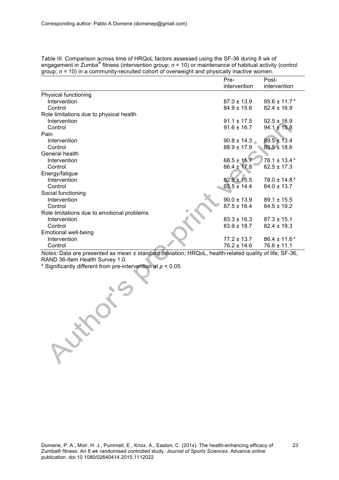|                                            | Pre-            | Post-             |
|--------------------------------------------|-----------------|-------------------|
|                                            | intervention    | intervention      |
| Physical functioning                       |                 |                   |
| Intervention                               | $87.0 \pm 13.9$ | $95.6 \pm 11.7$ * |
| Control                                    | $84.9 \pm 15.6$ | $82.4 \pm 16.9$   |
| Role limitations due to physical health    |                 |                   |
| Intervention                               | $91.1 \pm 17.5$ | $92.5 \pm 16.9$   |
| Control                                    | $91.6 \pm 16.7$ | $94.1 \pm 15.8$   |
| Pain                                       |                 |                   |
| Intervention                               | $90.8 \pm 14.3$ | $89.5 \pm 13.4$   |
| Control                                    | $88.9 \pm 17.9$ | $85.5 \pm 18.6$   |
| General health                             |                 |                   |
| Intervention                               | $68.5 \pm 15.7$ | $78.1 \pm 13.4*$  |
| Control                                    | $66.4 \pm 17.8$ | $62.5 \pm 17.3$   |
| Energy/fatigue                             |                 |                   |
| Intervention                               | $62.5 \pm 15.5$ | $78.0 \pm 14.8*$  |
| Control                                    | $63.5 \pm 14.4$ | $64.0 \pm 13.7$   |
| Social functioning                         |                 |                   |
| Intervention                               | $90.0 \pm 13.9$ | $89.1 \pm 15.5$   |
| Control                                    | $87.5 \pm 16.4$ | $84.5 \pm 19.2$   |
| Role limitations due to emotional problems |                 |                   |
| Intervention                               | $83.3 \pm 16.3$ | $87.3 \pm 15.1$   |
| Control                                    | $83.9 \pm 18.7$ | $82.4 \pm 19.3$   |
| Emotional well-being                       |                 |                   |
| Intervention                               | $77.2 \pm 13.7$ | $86.4 \pm 11.6*$  |
| Control                                    | $76.2 \pm 14.6$ | $76.6 \pm 11.1$   |

Table III. Comparison across time of HRQoL factors assessed using the SF-36 during 8 wk of engagement in Zumba® fitness (intervention group; *n* = 10) or maintenance of habitual activity (control group; *n* = 10) in a community-recruited cohort of overweight and physically inactive women.

*Notes:* Data are presented as mean ± standard deviation; HRQoL, health-related quality of life; SF-36, RAND 36-Item Health Survey 1.0.

\* Significantly different from pre-intervention at *p* < 0.05.

Authoris T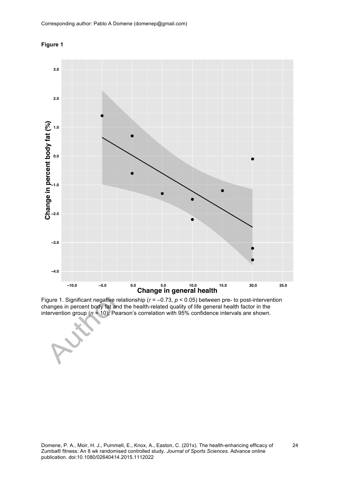



Figure 1. Significant negative relationship (*r* = –0.73, *p* < 0.05) between pre- to post-intervention changes in percent body fat and the health-related quality of life general health factor in the intervention group (*n* = 10); Pearson's correlation with 95% confidence intervals are shown.